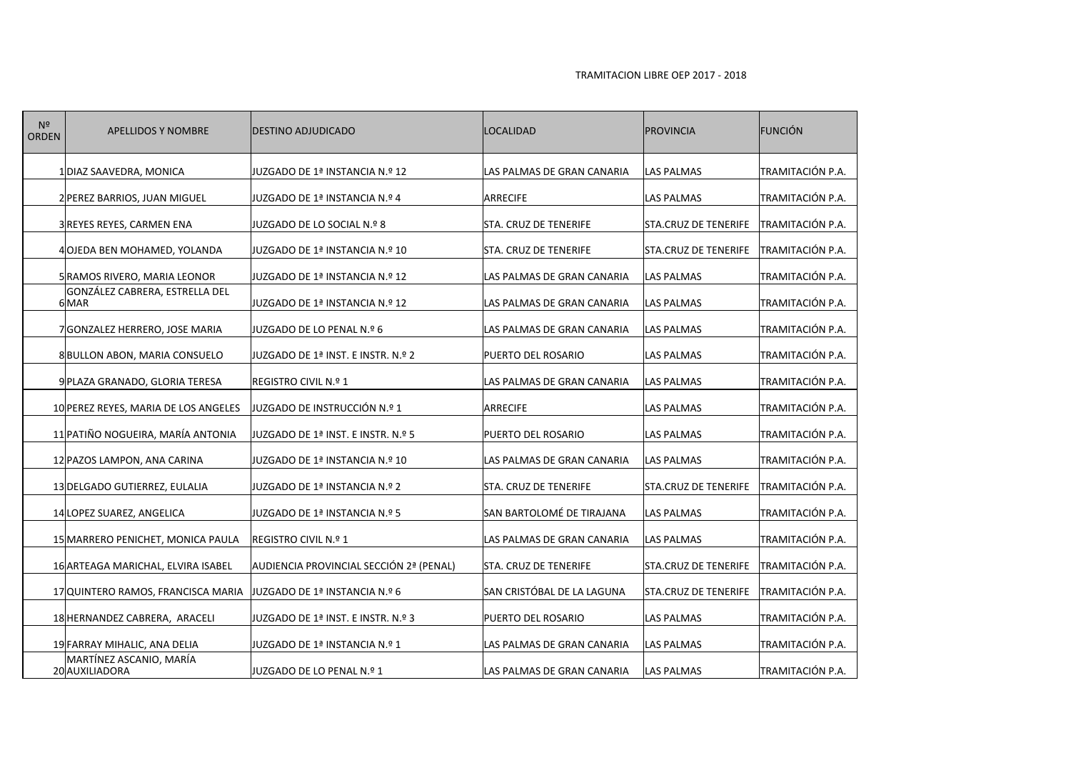| N <sup>2</sup><br><b>ORDEN</b> | <b>APELLIDOS Y NOMBRE</b>                 | <b>DESTINO ADJUDICADO</b>               | <b>LOCALIDAD</b>             | <b>PROVINCIA</b>            | FUNCIÓN          |
|--------------------------------|-------------------------------------------|-----------------------------------------|------------------------------|-----------------------------|------------------|
|                                | 1 DIAZ SAAVEDRA, MONICA                   | JUZGADO DE 1ª INSTANCIA N.º 12          | LAS PALMAS DE GRAN CANARIA   | <b>LAS PALMAS</b>           | TRAMITACIÓN P.A. |
|                                | 2 PEREZ BARRIOS, JUAN MIGUEL              | JUZGADO DE 1ª INSTANCIA N.º 4           | <b>ARRECIFE</b>              | LAS PALMAS                  | TRAMITACIÓN P.A. |
|                                | 3 REYES REYES, CARMEN ENA                 | JUZGADO DE LO SOCIAL N.º 8              | STA. CRUZ DE TENERIFE        | STA.CRUZ DE TENERIFE        | TRAMITACIÓN P.A. |
|                                | 4 OJEDA BEN MOHAMED, YOLANDA              | JUZGADO DE 1ª INSTANCIA N.º 10          | STA. CRUZ DE TENERIFE        | <b>STA.CRUZ DE TENERIFE</b> | TRAMITACIÓN P.A. |
|                                | 5 RAMOS RIVERO, MARIA LEONOR              | JUZGADO DE 1ª INSTANCIA N.º 12          | LAS PALMAS DE GRAN CANARIA   | <b>LAS PALMAS</b>           | TRAMITACIÓN P.A. |
|                                | GONZÁLEZ CABRERA, ESTRELLA DEL<br>$6$ MAR | JUZGADO DE 1ª INSTANCIA N.º 12          | LAS PALMAS DE GRAN CANARIA   | <b>LAS PALMAS</b>           | TRAMITACIÓN P.A. |
|                                | 7 GONZALEZ HERRERO, JOSE MARIA            | JUZGADO DE LO PENAL N.º 6               | LAS PALMAS DE GRAN CANARIA   | <b>LAS PALMAS</b>           | TRAMITACIÓN P.A. |
|                                | 8BULLON ABON, MARIA CONSUELO              | JUZGADO DE 1ª INST. E INSTR. N.º 2      | PUERTO DEL ROSARIO           | <b>LAS PALMAS</b>           | TRAMITACIÓN P.A. |
|                                | 9 PLAZA GRANADO, GLORIA TERESA            | REGISTRO CIVIL N.º 1                    | LAS PALMAS DE GRAN CANARIA   | <b>LAS PALMAS</b>           | TRAMITACIÓN P.A. |
|                                | 10 PEREZ REYES, MARIA DE LOS ANGELES      | JUZGADO DE INSTRUCCIÓN N.º 1            | <b>ARRECIFE</b>              | <b>LAS PALMAS</b>           | TRAMITACIÓN P.A. |
|                                | 11 PATIÑO NOGUEIRA, MARÍA ANTONIA         | JUZGADO DE 1ª INST. E INSTR. N.º 5      | PUERTO DEL ROSARIO           | <b>LAS PALMAS</b>           | TRAMITACIÓN P.A. |
|                                | 12 PAZOS LAMPON, ANA CARINA               | JUZGADO DE 1ª INSTANCIA N.º 10          | LAS PALMAS DE GRAN CANARIA   | <b>LAS PALMAS</b>           | TRAMITACIÓN P.A. |
|                                | 13 DELGADO GUTIERREZ, EULALIA             | JUZGADO DE 1ª INSTANCIA N.º 2           | <b>STA. CRUZ DE TENERIFE</b> | <b>STA.CRUZ DE TENERIFE</b> | TRAMITACIÓN P.A. |
|                                | 14 LOPEZ SUAREZ, ANGELICA                 | JUZGADO DE 1ª INSTANCIA N.º 5           | SAN BARTOLOMÉ DE TIRAJANA    | <b>LAS PALMAS</b>           | TRAMITACIÓN P.A. |
|                                | 15 MARRERO PENICHET, MONICA PAULA         | REGISTRO CIVIL N.º 1                    | LAS PALMAS DE GRAN CANARIA   | <b>LAS PALMAS</b>           | TRAMITACIÓN P.A. |
|                                | 16 ARTEAGA MARICHAL, ELVIRA ISABEL        | AUDIENCIA PROVINCIAL SECCIÓN 2ª (PENAL) | STA. CRUZ DE TENERIFE        | <b>STA.CRUZ DE TENERIFE</b> | TRAMITACIÓN P.A. |
|                                | 17 QUINTERO RAMOS, FRANCISCA MARIA        | JUZGADO DE 1ª INSTANCIA N.º 6           | SAN CRISTÓBAL DE LA LAGUNA   | <b>STA.CRUZ DE TENERIFE</b> | TRAMITACIÓN P.A. |
|                                | 18 HERNANDEZ CABRERA, ARACELI             | JUZGADO DE 1ª INST. E INSTR. N.º 3      | PUERTO DEL ROSARIO           | <b>LAS PALMAS</b>           | TRAMITACIÓN P.A. |
|                                | 19 FARRAY MIHALIC, ANA DELIA              | JUZGADO DE 1ª INSTANCIA N.º 1           | LAS PALMAS DE GRAN CANARIA   | <b>LAS PALMAS</b>           | TRAMITACIÓN P.A. |
|                                | MARTÍNEZ ASCANIO, MARÍA<br>20 AUXILIADORA | JUZGADO DE LO PENAL N.º 1               | LAS PALMAS DE GRAN CANARIA   | LAS PALMAS                  | TRAMITACIÓN P.A. |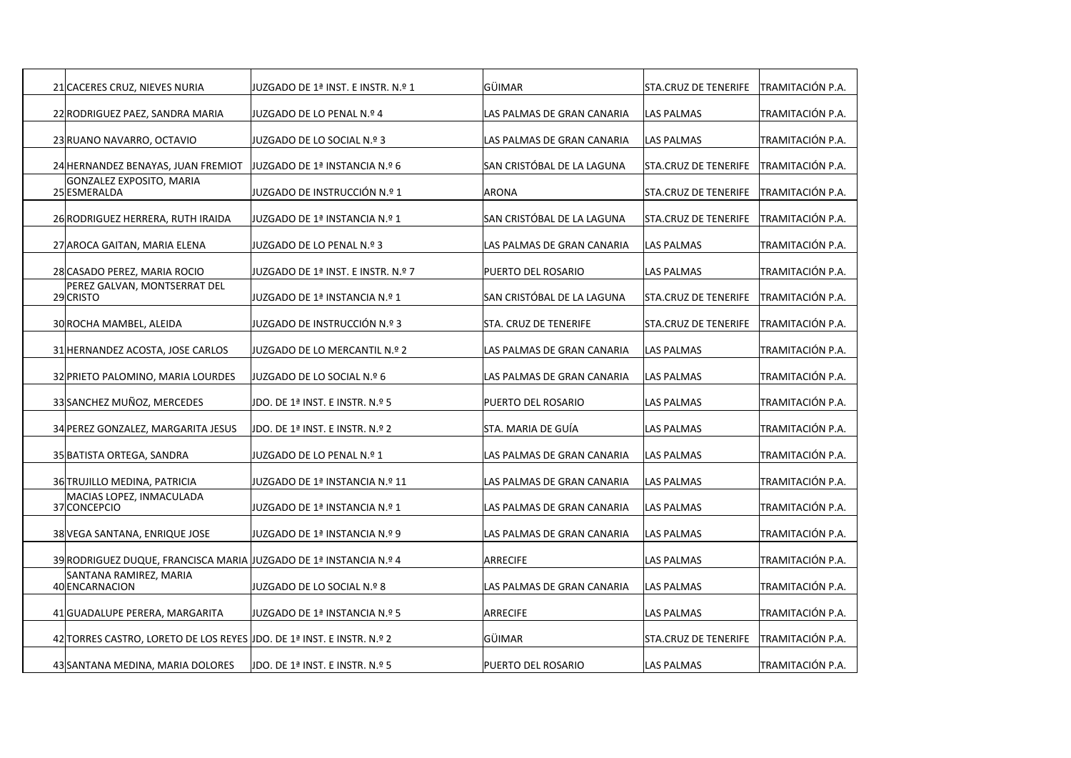| 21 CACERES CRUZ, NIEVES NURIA                                          | JUZGADO DE 1ª INST. E INSTR. N.º 1 | GÜIMAR                     | <b>STA.CRUZ DE TENERIFE</b>  | ITRAMITACIÓN P.A. |
|------------------------------------------------------------------------|------------------------------------|----------------------------|------------------------------|-------------------|
| 22 RODRIGUEZ PAEZ, SANDRA MARIA                                        | JUZGADO DE LO PENAL N.º 4          | LAS PALMAS DE GRAN CANARIA | <b>LAS PALMAS</b>            | TRAMITACIÓN P.A.  |
| 23 RUANO NAVARRO, OCTAVIO                                              | JJUZGADO DE LO SOCIAL N.º 3        | LAS PALMAS DE GRAN CANARIA | <b>LAS PALMAS</b>            | TRAMITACIÓN P.A.  |
| 24 HERNANDEZ BENAYAS, JUAN FREMIOT                                     | JUZGADO DE 1ª INSTANCIA N.º 6      | SAN CRISTÓBAL DE LA LAGUNA | <b>STA.CRUZ DE TENERIFE</b>  | TRAMITACIÓN P.A.  |
| GONZALEZ EXPOSITO, MARIA<br>25 ESMERALDA                               | JUZGADO DE INSTRUCCIÓN N.º 1       | <b>ARONA</b>               | <b>ISTA.CRUZ DE TENERIFE</b> | TRAMITACIÓN P.A.  |
| 26 RODRIGUEZ HERRERA, RUTH IRAIDA                                      | 1 UZGADO DE 1ª INSTANCIA N.º       | SAN CRISTÓBAL DE LA LAGUNA | <b>STA.CRUZ DE TENERIFE</b>  | TRAMITACIÓN P.A.  |
| 27 AROCA GAITAN, MARIA ELENA                                           | JUZGADO DE LO PENAL N.º 3          | LAS PALMAS DE GRAN CANARIA | <b>LAS PALMAS</b>            | TRAMITACIÓN P.A.  |
| 28 CASADO PEREZ, MARIA ROCIO                                           | VUZGADO DE 1ª INST. E INSTR. N.º 7 | PUERTO DEL ROSARIO         | <b>LAS PALMAS</b>            | TRAMITACIÓN P.A.  |
| PEREZ GALVAN, MONTSERRAT DEL<br>29 CRISTO                              | JUZGADO DE 1ª INSTANCIA N.º 1      | SAN CRISTÓBAL DE LA LAGUNA | <b>STA.CRUZ DE TENERIFE</b>  | TRAMITACIÓN P.A.  |
| 30 ROCHA MAMBEL, ALEIDA                                                | JUZGADO DE INSTRUCCIÓN N.º 3       | STA. CRUZ DE TENERIFE      | <b>STA.CRUZ DE TENERIFE</b>  | TRAMITACIÓN P.A.  |
| 31 HERNANDEZ ACOSTA, JOSE CARLOS                                       | JUZGADO DE LO MERCANTIL N.º 2      | LAS PALMAS DE GRAN CANARIA | <b>LAS PALMAS</b>            | TRAMITACIÓN P.A.  |
| 32 PRIETO PALOMINO, MARIA LOURDES                                      | JUZGADO DE LO SOCIAL N.º 6         | LAS PALMAS DE GRAN CANARIA | <b>LAS PALMAS</b>            | TRAMITACIÓN P.A.  |
| 33 SANCHEZ MUÑOZ, MERCEDES                                             | JDO. DE 1ª INST. E INSTR. N.º 5    | PUERTO DEL ROSARIO         | <b>LAS PALMAS</b>            | TRAMITACIÓN P.A.  |
| 34 PEREZ GONZALEZ, MARGARITA JESUS                                     | JDO. DE 1ª INST. E INSTR. N.º 2    | STA. MARIA DE GUÍA         | <b>LAS PALMAS</b>            | TRAMITACIÓN P.A.  |
| 35 BATISTA ORTEGA, SANDRA                                              | JUZGADO DE LO PENAL N.º 1          | LAS PALMAS DE GRAN CANARIA | <b>LAS PALMAS</b>            | TRAMITACIÓN P.A.  |
| 36 TRUJILLO MEDINA, PATRICIA                                           | JUZGADO DE 1ª INSTANCIA N.º 11     | LAS PALMAS DE GRAN CANARIA | <b>LAS PALMAS</b>            | TRAMITACIÓN P.A.  |
| MACIAS LOPEZ, INMACULADA<br>37 CONCEPCIO                               | JUZGADO DE 1ª INSTANCIA N.º 1      | LAS PALMAS DE GRAN CANARIA | <b>LAS PALMAS</b>            | TRAMITACIÓN P.A.  |
| 38 VEGA SANTANA, ENRIQUE JOSE                                          | JUZGADO DE 1ª INSTANCIA N.º 9      | LAS PALMAS DE GRAN CANARIA | <b>LAS PALMAS</b>            | TRAMITACIÓN P.A.  |
| 39 RODRIGUEZ DUQUE, FRANCISCA MARIA JJUZGADO DE 1ª INSTANCIA N.º 4     |                                    | <b>ARRECIFE</b>            | <b>LAS PALMAS</b>            | TRAMITACIÓN P.A.  |
| SANTANA RAMIREZ, MARIA<br>40 ENCARNACION                               | JUZGADO DE LO SOCIAL N.º 8         | LAS PALMAS DE GRAN CANARIA | <b>LAS PALMAS</b>            | TRAMITACIÓN P.A.  |
| 41 GUADALUPE PERERA, MARGARITA                                         | JUZGADO DE 1ª INSTANCIA N.º 5      | <b>ARRECIFE</b>            | <b>LAS PALMAS</b>            | TRAMITACIÓN P.A.  |
| 42 TORRES CASTRO, LORETO DE LOS REYES JJDO. DE 1ª INST. E INSTR. N.º 2 |                                    | GÜIMAR                     | <b>STA.CRUZ DE TENERIFE</b>  | TRAMITACIÓN P.A.  |
| 43 SANTANA MEDINA, MARIA DOLORES                                       | JDO. DE 1ª INST. E INSTR. N.º 5    | PUERTO DEL ROSARIO         | LAS PALMAS                   | TRAMITACIÓN P.A.  |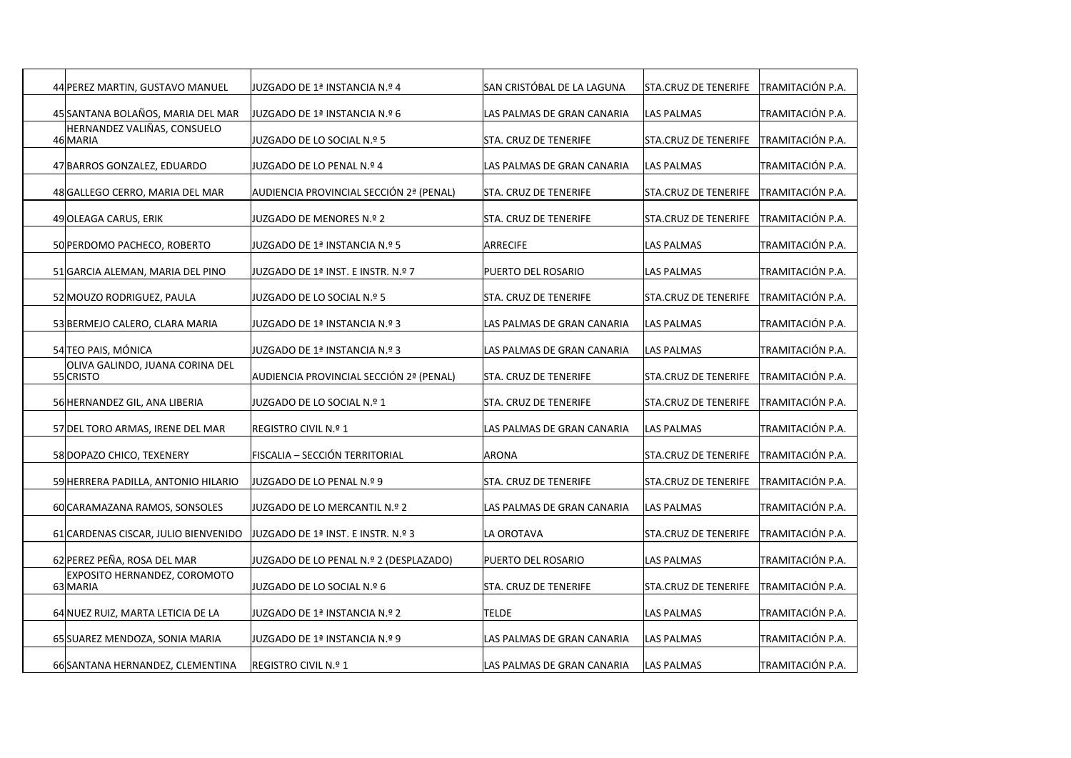| 44 PEREZ MARTIN, GUSTAVO MANUEL              | JUZGADO DE 1ª INSTANCIA N.º 4           | lSAN CRISTÓBAL DE LA LAGUNA | STA.CRUZ DE TENERIFE        | TRAMITACIÓN P.A. |
|----------------------------------------------|-----------------------------------------|-----------------------------|-----------------------------|------------------|
| 45 SANTANA BOLAÑOS, MARIA DEL MAR            | JUZGADO DE 1ª INSTANCIA N.º 6           | LAS PALMAS DE GRAN CANARIA  | LAS PALMAS                  | TRAMITACIÓN P.A. |
| HERNANDEZ VALIÑAS, CONSUELO<br>46 MARIA      | JUZGADO DE LO SOCIAL N.º 5              | STA. CRUZ DE TENERIFE       | STA.CRUZ DE TENERIFE        | TRAMITACIÓN P.A. |
| 47 BARROS GONZALEZ, EDUARDO                  | IUZGADO DE LO PENAL N.º 4               | LAS PALMAS DE GRAN CANARIA  | <b>LAS PALMAS</b>           | TRAMITACIÓN P.A. |
| 48 GALLEGO CERRO, MARIA DEL MAR              | AUDIENCIA PROVINCIAL SECCIÓN 2ª (PENAL) | STA. CRUZ DE TENERIFE       | STA.CRUZ DE TENERIFE        | TRAMITACIÓN P.A. |
| 49 OLEAGA CARUS, ERIK                        | JUZGADO DE MENORES N.º 2                | STA. CRUZ DE TENERIFE       | STA.CRUZ DE TENERIFE        | TRAMITACIÓN P.A. |
| 50 PERDOMO PACHECO, ROBERTO                  | JUZGADO DE 1ª INSTANCIA N.º 5           | <b>ARRECIFE</b>             | <b>LAS PALMAS</b>           | TRAMITACIÓN P.A. |
| 51 GARCIA ALEMAN, MARIA DEL PINO             | JUZGADO DE 1ª INST. E INSTR. N.º 7      | PUERTO DEL ROSARIO          | <b>LAS PALMAS</b>           | TRAMITACIÓN P.A. |
| 52 MOUZO RODRIGUEZ, PAULA                    | JUZGADO DE LO SOCIAL N.º 5              | STA. CRUZ DE TENERIFE       | STA.CRUZ DE TENERIFE        | TRAMITACIÓN P.A. |
| 53 BERMEJO CALERO, CLARA MARIA               | JUZGADO DE 1ª INSTANCIA N.º 3           | LAS PALMAS DE GRAN CANARIA  | <b>LAS PALMAS</b>           | TRAMITACIÓN P.A. |
| 54 TEO PAIS, MÓNICA                          | JUZGADO DE 1ª INSTANCIA N.º 3           | LAS PALMAS DE GRAN CANARIA  | LAS PALMAS                  | TRAMITACIÓN P.A. |
| OLIVA GALINDO, JUANA CORINA DEL<br>55 CRISTO | AUDIENCIA PROVINCIAL SECCIÓN 2ª (PENAL) | STA. CRUZ DE TENERIFE       | <b>STA.CRUZ DE TENERIFE</b> | TRAMITACIÓN P.A. |
| 56 HERNANDEZ GIL, ANA LIBERIA                | JUZGADO DE LO SOCIAL N.º 1              | STA. CRUZ DE TENERIFE       | <b>STA.CRUZ DE TENERIFE</b> | TRAMITACIÓN P.A. |
| 57 DEL TORO ARMAS, IRENE DEL MAR             | <b>REGISTRO CIVIL N.º 1</b>             | LAS PALMAS DE GRAN CANARIA  | <b>LAS PALMAS</b>           | TRAMITACIÓN P.A. |
| 58 DOPAZO CHICO, TEXENERY                    | FISCALIA – SECCIÓN TERRITORIAL          | ARONA                       | STA.CRUZ DE TENERIFE        | TRAMITACIÓN P.A. |
| 59 HERRERA PADILLA, ANTONIO HILARIO          | JUZGADO DE LO PENAL N.º 9               | STA. CRUZ DE TENERIFE       | STA.CRUZ DE TENERIFE        | TRAMITACIÓN P.A. |
| 60 CARAMAZANA RAMOS, SONSOLES                | JUZGADO DE LO MERCANTIL N.º 2           | LAS PALMAS DE GRAN CANARIA  | <b>LAS PALMAS</b>           | TRAMITACIÓN P.A. |
| 61 CARDENAS CISCAR, JULIO BIENVENIDO         | JUZGADO DE 1ª INST. E INSTR. N.º 3      | LA OROTAVA                  | STA.CRUZ DE TENERIFE        | TRAMITACIÓN P.A. |
| 62 PEREZ PEÑA, ROSA DEL MAR                  | JUZGADO DE LO PENAL N.º 2 (DESPLAZADO)  | PUERTO DEL ROSARIO          | <b>LAS PALMAS</b>           | TRAMITACIÓN P.A. |
| EXPOSITO HERNANDEZ, COROMOTO<br>63 MARIA     | JUZGADO DE LO SOCIAL N.º 6              | STA. CRUZ DE TENERIFE       | STA.CRUZ DE TENERIFE        | TRAMITACIÓN P.A. |
| 64 NUEZ RUIZ, MARTA LETICIA DE LA            | 2 º.NSTANCIA N. ا9 INSTANCIA            | <b>TELDE</b>                | <b>LAS PALMAS</b>           | TRAMITACIÓN P.A. |
| 65 SUAREZ MENDOZA, SONIA MARIA               | JUZGADO DE 1ª INSTANCIA N.º 9           | LAS PALMAS DE GRAN CANARIA  | LAS PALMAS                  | TRAMITACIÓN P.A. |
| 66 SANTANA HERNANDEZ, CLEMENTINA             | REGISTRO CIVIL N.º 1                    | LAS PALMAS DE GRAN CANARIA  | <b>LAS PALMAS</b>           | TRAMITACIÓN P.A. |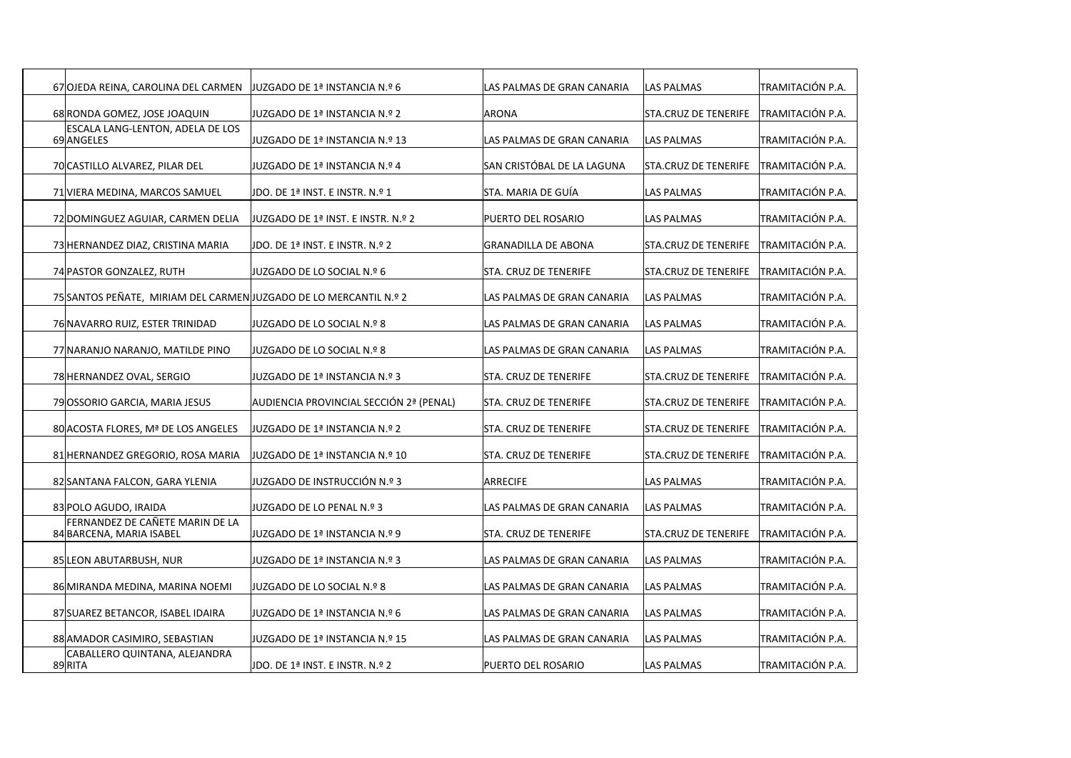| 67 OJEDA REINA, CAROLINA DEL CARMEN                               | JUZGADO DE 1ª INSTANCIA N.º 6           | LAS PALMAS DE GRAN CANARIA | <b>LAS PALMAS</b>           | ITRAMITACIÓN P.A. |
|-------------------------------------------------------------------|-----------------------------------------|----------------------------|-----------------------------|-------------------|
| 68 RONDA GOMEZ, JOSE JOAQUIN                                      | JUZGADO DE 1ª INSTANCIA N.º 2           | <b>ARONA</b>               | STA.CRUZ DE TENERIFE        | TRAMITACIÓN P.A.  |
| ESCALA LANG-LENTON, ADELA DE LOS<br>69 ANGELES                    | JUZGADO DE 1ª INSTANCIA N.º 13          | LAS PALMAS DE GRAN CANARIA | LAS PALMAS                  | TRAMITACIÓN P.A.  |
| 70 CASTILLO ALVAREZ, PILAR DEL                                    | JUZGADO DE 1ª INSTANCIA N.º 4           | SAN CRISTÓBAL DE LA LAGUNA | STA.CRUZ DE TENERIFE        | TRAMITACIÓN P.A.  |
| 71 VIERA MEDINA, MARCOS SAMUEL                                    | JDO. DE 1ª INST. E INSTR. N.º 1         | STA. MARIA DE GUÍA         | LAS PALMAS                  | TRAMITACIÓN P.A.  |
| 72 DOMINGUEZ AGUIAR, CARMEN DELIA                                 | JUZGADO DE 1ª INST. E INSTR. N.º 2      | PUERTO DEL ROSARIO         | LAS PALMAS                  | TRAMITACIÓN P.A.  |
| 73 HERNANDEZ DIAZ, CRISTINA MARIA                                 | JDO. DE 1ª INST. E INSTR. N.º 2         | <b>GRANADILLA DE ABONA</b> | STA.CRUZ DE TENERIFE        | TRAMITACIÓN P.A.  |
| 74 PASTOR GONZALEZ, RUTH                                          | JUZGADO DE LO SOCIAL N.º 6              | STA. CRUZ DE TENERIFE      | STA.CRUZ DE TENERIFE        | TRAMITACIÓN P.A.  |
| 75 SANTOS PEÑATE, MIRIAM DEL CARMEN JUZGADO DE LO MERCANTIL N.º 2 |                                         | LAS PALMAS DE GRAN CANARIA | LAS PALMAS                  | TRAMITACIÓN P.A.  |
| 76 NAVARRO RUIZ, ESTER TRINIDAD                                   | JUZGADO DE LO SOCIAL N.º 8              | LAS PALMAS DE GRAN CANARIA | LAS PALMAS                  | TRAMITACIÓN P.A.  |
| 77 NARANJO NARANJO, MATILDE PINO                                  | JJUZGADO DE LO SOCIAL N.º 8             | LAS PALMAS DE GRAN CANARIA | <b>LAS PALMAS</b>           | TRAMITACIÓN P.A.  |
| 78 HERNANDEZ OVAL, SERGIO                                         | JUZGADO DE 1ª INSTANCIA N.º 3           | STA. CRUZ DE TENERIFE      | <b>STA.CRUZ DE TENERIFE</b> | TRAMITACIÓN P.A.  |
| 79 OSSORIO GARCIA, MARIA JESUS                                    | AUDIENCIA PROVINCIAL SECCIÓN 2ª (PENAL) | STA. CRUZ DE TENERIFE      | <b>STA.CRUZ DE TENERIFE</b> | TRAMITACIÓN P.A.  |
| 80 ACOSTA FLORES, Mª DE LOS ANGELES                               | JUZGADO DE 1ª INSTANCIA N.º 2           | STA. CRUZ DE TENERIFE      | <b>STA.CRUZ DE TENERIFE</b> | TRAMITACIÓN P.A.  |
| 81 HERNANDEZ GREGORIO, ROSA MARIA                                 | JUZGADO DE 1ª INSTANCIA N.º 10          | STA. CRUZ DE TENERIFE      | STA.CRUZ DE TENERIFE        | TRAMITACIÓN P.A.  |
| 82 SANTANA FALCON, GARA YLENIA                                    | JUZGADO DE INSTRUCCIÓN N.º 3            | ARRECIFE                   | LAS PALMAS                  | TRAMITACIÓN P.A.  |
| 83 POLO AGUDO, IRAIDA                                             | JUZGADO DE LO PENAL N.º 3               | LAS PALMAS DE GRAN CANARIA | LAS PALMAS                  | TRAMITACIÓN P.A.  |
| FERNANDEZ DE CAÑETE MARIN DE LA<br>84 BARCENA, MARIA ISABEL       | JUZGADO DE 1ª INSTANCIA N.º 9           | STA. CRUZ DE TENERIFE      | <b>STA.CRUZ DE TENERIFE</b> | TRAMITACIÓN P.A.  |
| 85 LEON ABUTARBUSH, NUR                                           | JUZGADO DE 1ª INSTANCIA N.º 3           | LAS PALMAS DE GRAN CANARIA | <b>LAS PALMAS</b>           | TRAMITACIÓN P.A.  |
|                                                                   |                                         |                            | LAS PALMAS                  | TRAMITACIÓN P.A.  |
| 86 MIRANDA MEDINA, MARINA NOEMI                                   | JUZGADO DE LO SOCIAL N.º 8              | LAS PALMAS DE GRAN CANARIA |                             | TRAMITACIÓN P.A.  |
| 87 SUAREZ BETANCOR, ISABEL IDAIRA                                 | JUZGADO DE 1ª INSTANCIA N.º 6           | LAS PALMAS DE GRAN CANARIA | <b>LAS PALMAS</b>           |                   |
| 88 AMADOR CASIMIRO, SEBASTIAN                                     | JUZGADO DE 1ª INSTANCIA N.º 15          | LAS PALMAS DE GRAN CANARIA | <b>LAS PALMAS</b>           | TRAMITACIÓN P.A.  |
| CABALLERO QUINTANA, ALEJANDRA<br>89RITA                           | JDO. DE 1ª INST. E INSTR. N.º 2         | <b>PUERTO DEL ROSARIO</b>  | LAS PALMAS                  | TRAMITACIÓN P.A.  |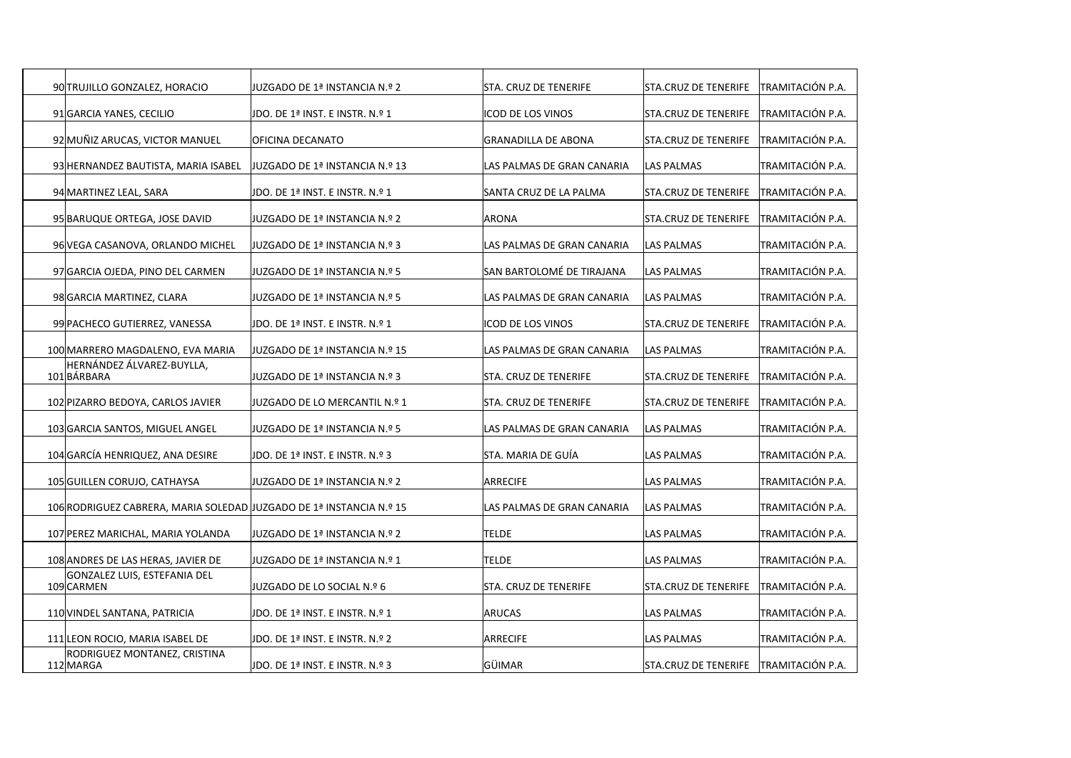| 90 TRUJILLO GONZALEZ, HORACIO                                       | JUZGADO DE 1ª INSTANCIA N.º 2    | STA. CRUZ DE TENERIFE        | STA.CRUZ DE TENERIFE        | ITRAMITACIÓN P.A.       |
|---------------------------------------------------------------------|----------------------------------|------------------------------|-----------------------------|-------------------------|
| 91 GARCIA YANES, CECILIO                                            | JDO. DE 1ª INST. E INSTR. N.º 1  | ICOD DE LOS VINOS            | <b>STA.CRUZ DE TENERIFE</b> | TRAMITACIÓN P.A.        |
| 92 MUÑIZ ARUCAS, VICTOR MANUEL                                      | OFICINA DECANATO                 | <b>GRANADILLA DE ABONA</b>   | <b>STA.CRUZ DE TENERIFE</b> | TRAMITACIÓN P.A.        |
| 93 HERNANDEZ BAUTISTA, MARIA ISABEL                                 | JUZGADO DE 1ª INSTANCIA N.º 13   | LAS PALMAS DE GRAN CANARIA   | LAS PALMAS                  | TRAMITACIÓN P.A.        |
| 94 MARTINEZ LEAL, SARA                                              | JDO. DE 1ª INST. E INSTR. N.º 1  | SANTA CRUZ DE LA PALMA       | <b>STA.CRUZ DE TENERIFE</b> | TRAMITACIÓN P.A.        |
| 95 BARUQUE ORTEGA, JOSE DAVID                                       | JUZGADO DE 1ª INSTANCIA N.º 2    | <b>ARONA</b>                 | <b>STA.CRUZ DE TENERIFE</b> | TRAMITACIÓN P.A.        |
| 96 VEGA CASANOVA, ORLANDO MICHEL                                    | JJUZGADO DE 1ª INSTANCIA N.º 3   | LAS PALMAS DE GRAN CANARIA   | LAS PALMAS                  | TRAMITACIÓN P.A.        |
| 97 GARCIA OJEDA, PINO DEL CARMEN                                    | JUZGADO DE 1ª INSTANCIA N.º 5    | SAN BARTOLOMÉ DE TIRAJANA    | LAS PALMAS                  | TRAMITACIÓN P.A.        |
| 98 GARCIA MARTINEZ, CLARA                                           | JUZGADO DE 1ª INSTANCIA N.º 5    | LAS PALMAS DE GRAN CANARIA   | <b>LAS PALMAS</b>           | TRAMITACIÓN P.A.        |
| 99 PACHECO GUTIERREZ, VANESSA                                       | JDO. DE 1ª INST. E INSTR. N.º 1  | ICOD DE LOS VINOS            | <b>STA.CRUZ DE TENERIFE</b> | TRAMITACIÓN P.A.        |
| 100 MARRERO MAGDALENO, EVA MARIA                                    | JUZGADO DE 1ª INSTANCIA N.º 15   | LAS PALMAS DE GRAN CANARIA   | <b>LAS PALMAS</b>           | TRAMITACIÓN P.A.        |
| HERNÁNDEZ ÁLVAREZ-BUYLLA,<br>101BÁRBARA                             | JUZGADO DE 1ª INSTANCIA N.º 3    | STA. CRUZ DE TENERIFE        | <b>STA.CRUZ DE TENERIFE</b> | TRAMITACIÓN P.A.        |
| 102 PIZARRO BEDOYA, CARLOS JAVIER                                   | JUZGADO DE LO MERCANTIL N.º 1    | <b>STA. CRUZ DE TENERIFE</b> | <b>STA.CRUZ DE TENERIFE</b> | TRAMITACIÓN P.A.        |
| 103 GARCIA SANTOS, MIGUEL ANGEL                                     | JUZGADO DE 1ª INSTANCIA N.º 5    | LAS PALMAS DE GRAN CANARIA   | LAS PALMAS                  | TRAMITACIÓN P.A.        |
|                                                                     |                                  |                              |                             |                         |
| 104 GARCÍA HENRIQUEZ, ANA DESIRE                                    | JDO. DE 1ª INST. E INSTR. N.º 3  | STA. MARIA DE GUÍA           | LAS PALMAS                  | TRAMITACIÓN P.A.        |
| 105 GUILLEN CORUJO, CATHAYSA                                        | JUZGADO DE 1ª INSTANCIA N.º 2    | <b>ARRECIFE</b>              | LAS PALMAS                  | TRAMITACIÓN P.A.        |
| 106 RODRIGUEZ CABRERA, MARIA SOLEDAD JUZGADO DE 1ª INSTANCIA N.º 15 |                                  | LAS PALMAS DE GRAN CANARIA   | <b>LAS PALMAS</b>           | TRAMITACIÓN P.A.        |
| 107 PEREZ MARICHAL, MARIA YOLANDA                                   | JUZGADO DE 1ª INSTANCIA N.º 2    | <b>TELDE</b>                 | LAS PALMAS                  | TRAMITACIÓN P.A.        |
| 108 ANDRES DE LAS HERAS, JAVIER DE                                  | JUZGADO DE 1ª INSTANCIA N.º 1    | <b>TELDE</b>                 | LAS PALMAS                  | TRAMITACIÓN P.A.        |
| GONZALEZ LUIS, ESTEFANIA DEL<br>109 CARMEN                          | JUZGADO DE LO SOCIAL N.º 6       | STA. CRUZ DE TENERIFE        | <b>STA.CRUZ DE TENERIFE</b> | TRAMITACIÓN P.A.        |
| 110 VINDEL SANTANA, PATRICIA                                        | JDO. DE 1ª INST. E INSTR. N.º 1  | <b>ARUCAS</b>                | LAS PALMAS                  | TRAMITACIÓN P.A.        |
| 111 LEON ROCIO, MARIA ISABEL DE                                     | JDO. DE 1ª INST. E INSTR. N.º 2  | <b>ARRECIFE</b>              | <b>LAS PALMAS</b>           | TRAMITACIÓN P.A.        |
| RODRIGUEZ MONTANEZ, CRISTINA<br>112 MARGA                           | JJDO. DE 1ª INST. E INSTR. N.º 3 | GÜIMAR                       | STA.CRUZ DE TENERIFE        | <b>TRAMITACIÓN P.A.</b> |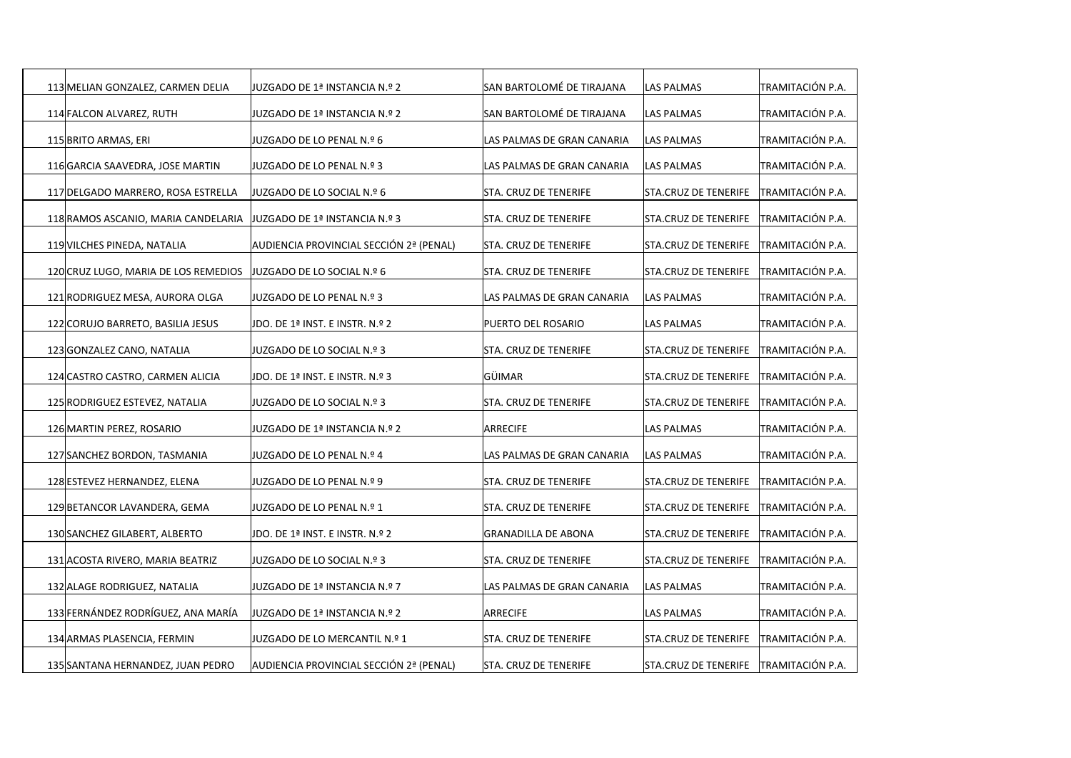| 113 MELIAN GONZALEZ, CARMEN DELIA    | JUZGADO DE 1ª INSTANCIA N.º 2           | SAN BARTOLOMÉ DE TIRAJANA    | LAS PALMAS                  | TRAMITACIÓN P.A. |
|--------------------------------------|-----------------------------------------|------------------------------|-----------------------------|------------------|
| 114 FALCON ALVAREZ, RUTH             | JUZGADO DE 1ª INSTANCIA N.º 2           | SAN BARTOLOMÉ DE TIRAJANA    | LAS PALMAS                  | TRAMITACIÓN P.A. |
| 115 BRITO ARMAS, ERI                 | JUZGADO DE LO PENAL N.º 6               | LAS PALMAS DE GRAN CANARIA   | LAS PALMAS                  | TRAMITACIÓN P.A. |
| 116 GARCIA SAAVEDRA, JOSE MARTIN     | JUZGADO DE LO PENAL N.º 3               | LAS PALMAS DE GRAN CANARIA   | LAS PALMAS                  | TRAMITACIÓN P.A. |
| 117 DELGADO MARRERO, ROSA ESTRELLA   | JUZGADO DE LO SOCIAL N.º 6              | STA. CRUZ DE TENERIFE        | STA.CRUZ DE TENERIFE        | TRAMITACIÓN P.A. |
| 118 RAMOS ASCANIO, MARIA CANDELARIA  | JUZGADO DE 1ª INSTANCIA N.º 3           | STA. CRUZ DE TENERIFE        | STA.CRUZ DE TENERIFE        | TRAMITACIÓN P.A. |
| 119 VILCHES PINEDA, NATALIA          | AUDIENCIA PROVINCIAL SECCIÓN 2ª (PENAL) | STA. CRUZ DE TENERIFE        | STA.CRUZ DE TENERIFE        | TRAMITACIÓN P.A. |
| 120 CRUZ LUGO, MARIA DE LOS REMEDIOS | JJUZGADO DE LO SOCIAL N.º 6             | STA. CRUZ DE TENERIFE        | STA.CRUZ DE TENERIFE        | TRAMITACIÓN P.A. |
| 121 RODRIGUEZ MESA, AURORA OLGA      | JUZGADO DE LO PENAL N.º 3               | LAS PALMAS DE GRAN CANARIA   | LAS PALMAS                  | TRAMITACIÓN P.A. |
| 122 CORUJO BARRETO, BASILIA JESUS    | JDO. DE 1ª INST. E INSTR. N.º 2         | PUERTO DEL ROSARIO           | LAS PALMAS                  | TRAMITACIÓN P.A. |
| 123 GONZALEZ CANO, NATALIA           | JUZGADO DE LO SOCIAL N.º 3              | STA. CRUZ DE TENERIFE        | STA.CRUZ DE TENERIFE        | TRAMITACIÓN P.A. |
| 124 CASTRO CASTRO, CARMEN ALICIA     | JDO. DE 1ª INST. E INSTR. N.º 3         | GÜIMAR                       | <b>STA.CRUZ DE TENERIFE</b> | TRAMITACIÓN P.A. |
| 125 RODRIGUEZ ESTEVEZ, NATALIA       | JUZGADO DE LO SOCIAL N.º 3              | STA. CRUZ DE TENERIFE        | STA.CRUZ DE TENERIFE        | TRAMITACIÓN P.A. |
| 126 MARTIN PEREZ, ROSARIO            | JUZGADO DE 1ª INSTANCIA N.º 2           | <b>ARRECIFE</b>              | LAS PALMAS                  | TRAMITACIÓN P.A. |
|                                      |                                         |                              |                             |                  |
| 127 SANCHEZ BORDON, TASMANIA         | JUZGADO DE LO PENAL N.º 4               | LAS PALMAS DE GRAN CANARIA   | LAS PALMAS                  | TRAMITACIÓN P.A. |
| 128 ESTEVEZ HERNANDEZ, ELENA         | JUZGADO DE LO PENAL N.º 9               | STA. CRUZ DE TENERIFE        | STA.CRUZ DE TENERIFE        | TRAMITACIÓN P.A. |
| 129 BETANCOR LAVANDERA, GEMA         | JUZGADO DE LO PENAL N.º 1               | STA. CRUZ DE TENERIFE        | STA.CRUZ DE TENERIFE        | TRAMITACIÓN P.A. |
| 130 SANCHEZ GILABERT, ALBERTO        | JDO. DE 1ª INST. E INSTR. N.º 2         | <b>GRANADILLA DE ABONA</b>   | STA.CRUZ DE TENERIFE        | TRAMITACIÓN P.A. |
| 131 ACOSTA RIVERO, MARIA BEATRIZ     | JUZGADO DE LO SOCIAL N.º 3              | STA. CRUZ DE TENERIFE        | STA.CRUZ DE TENERIFE        | TRAMITACIÓN P.A. |
| 132 ALAGE RODRIGUEZ, NATALIA         | JUZGADO DE 1ª INSTANCIA N.º 7           | LAS PALMAS DE GRAN CANARIA   | LAS PALMAS                  | TRAMITACIÓN P.A. |
| 133 FERNÁNDEZ RODRÍGUEZ, ANA MARÍA   | JUZGADO DE 1ª INSTANCIA N.º 2           | <b>ARRECIFE</b>              | LAS PALMAS                  | TRAMITACIÓN P.A. |
| 134 ARMAS PLASENCIA, FERMIN          | JUZGADO DE LO MERCANTIL N.º 1           | STA. CRUZ DE TENERIFE        | STA.CRUZ DE TENERIFE        | TRAMITACIÓN P.A. |
| 135 SANTANA HERNANDEZ, JUAN PEDRO    | AUDIENCIA PROVINCIAL SECCIÓN 2ª (PENAL) | <b>STA. CRUZ DE TENERIFE</b> | STA.CRUZ DE TENERIFE        | TRAMITACIÓN P.A. |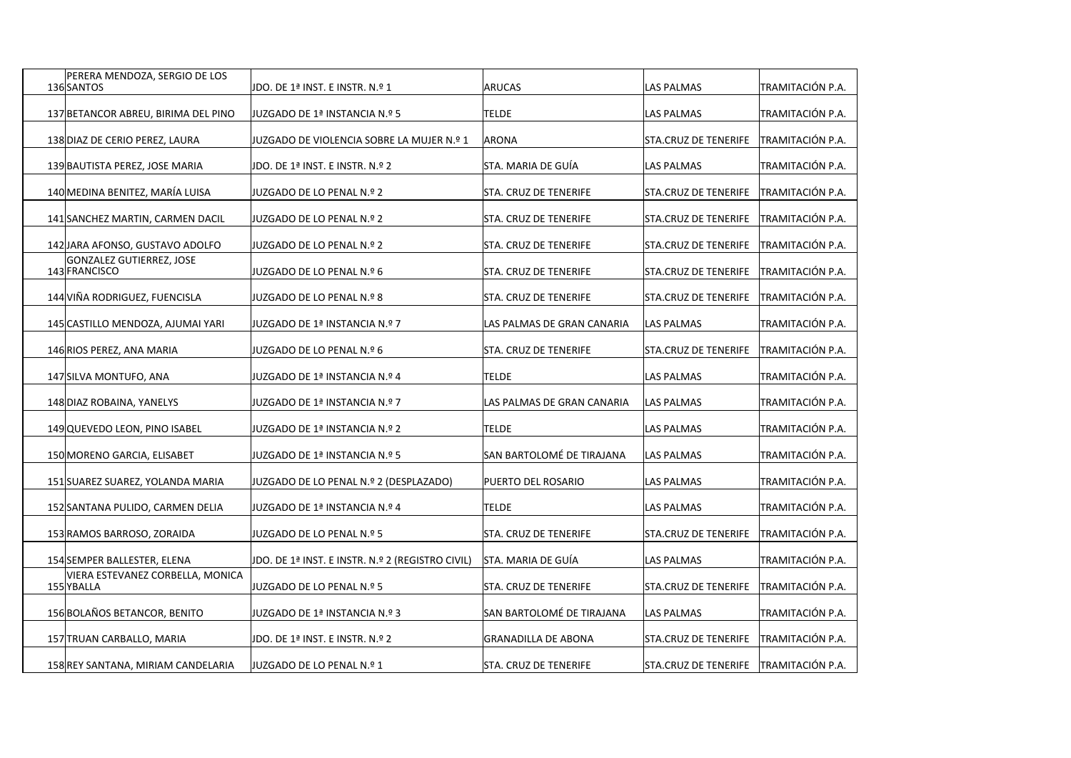| PERERA MENDOZA, SERGIO DE LOS<br>136 SANTOS    | JDO. DE 1ª INST. E INSTR. N.º 1                  | <b>ARUCAS</b>              | LAS PALMAS           | TRAMITACIÓN P.A.        |
|------------------------------------------------|--------------------------------------------------|----------------------------|----------------------|-------------------------|
| 137 BETANCOR ABREU, BIRIMA DEL PINO            | JUZGADO DE 1ª INSTANCIA N.º 5                    | TELDE                      | LAS PALMAS           | TRAMITACIÓN P.A.        |
| 138 DIAZ DE CERIO PEREZ, LAURA                 | JUZGADO DE VIOLENCIA SOBRE LA MUJER N.º 1        | IARONA                     | STA.CRUZ DE TENERIFE | TRAMITACIÓN P.A.        |
| 139 BAUTISTA PEREZ, JOSE MARIA                 | JDO. DE 1ª INST. E INSTR. N.º 2                  | STA. MARIA DE GUÍA         | LAS PALMAS           | TRAMITACIÓN P.A.        |
| 140 MEDINA BENITEZ, MARÍA LUISA                | 2 º.N IUZGADO DE LO PENAL N.                     | STA. CRUZ DE TENERIFE      | STA.CRUZ DE TENERIFE | TRAMITACIÓN P.A.        |
| 141 SANCHEZ MARTIN, CARMEN DACIL               | 2 º.N IUZGADO DE LO PENAL N.                     | STA. CRUZ DE TENERIFE      | STA.CRUZ DE TENERIFE | TRAMITACIÓN P.A.        |
| 142 JARA AFONSO, GUSTAVO ADOLFO                | 2 º.N UZGADO DE LO PENAL N                       | STA. CRUZ DE TENERIFE      | STA.CRUZ DE TENERIFE | TRAMITACIÓN P.A.        |
| GONZALEZ GUTIERREZ, JOSE<br>143 FRANCISCO      | JUZGADO DE LO PENAL N.º 6                        | STA. CRUZ DE TENERIFE      | STA.CRUZ DE TENERIFE | TRAMITACIÓN P.A.        |
| 144 VIÑA RODRIGUEZ, FUENCISLA                  | JUZGADO DE LO PENAL N.º 8                        | STA. CRUZ DE TENERIFE      | STA.CRUZ DE TENERIFE | TRAMITACIÓN P.A.        |
| 145 CASTILLO MENDOZA, AJUMAI YARI              | JUZGADO DE 1ª INSTANCIA N.º 7                    | LAS PALMAS DE GRAN CANARIA | LAS PALMAS           | TRAMITACIÓN P.A.        |
| 146 RIOS PEREZ, ANA MARIA                      | JUZGADO DE LO PENAL N.º 6                        | STA. CRUZ DE TENERIFE      | STA.CRUZ DE TENERIFE | TRAMITACIÓN P.A.        |
| 147 SILVA MONTUFO, ANA                         | JUZGADO DE 1ª INSTANCIA N.º 4                    | TELDE                      | LAS PALMAS           | TRAMITACIÓN P.A.        |
| 148 DIAZ ROBAINA, YANELYS                      | JUZGADO DE 1ª INSTANCIA N.º 7                    | LAS PALMAS DE GRAN CANARIA | LAS PALMAS           | TRAMITACIÓN P.A.        |
| 149 QUEVEDO LEON, PINO ISABEL                  | JUZGADO DE 1ª INSTANCIA N.º 2                    | <b>TELDE</b>               | LAS PALMAS           | TRAMITACIÓN P.A.        |
| 150 MORENO GARCIA, ELISABET                    | JUZGADO DE 1ª INSTANCIA N.º 5                    | SAN BARTOLOMÉ DE TIRAJANA  | LAS PALMAS           | TRAMITACIÓN P.A.        |
| 151 SUAREZ SUAREZ, YOLANDA MARIA               | JUZGADO DE LO PENAL N.º 2 (DESPLAZADO)           | PUERTO DEL ROSARIO         | LAS PALMAS           | TRAMITACIÓN P.A.        |
| 152 SANTANA PULIDO, CARMEN DELIA               | JUZGADO DE 1ª INSTANCIA N.º 4                    | <b>TELDE</b>               | LAS PALMAS           | TRAMITACIÓN P.A.        |
| 153 RAMOS BARROSO, ZORAIDA                     | JUZGADO DE LO PENAL N.º 5                        | STA. CRUZ DE TENERIFE      | STA.CRUZ DE TENERIFE | TRAMITACIÓN P.A.        |
| 154 SEMPER BALLESTER, ELENA                    | JDO. DE 1ª INST. E INSTR. N.º 2 (REGISTRO CIVIL) | STA. MARIA DE GUÍA         | LAS PALMAS           | TRAMITACIÓN P.A.        |
| VIERA ESTEVANEZ CORBELLA, MONICA<br>155 YBALLA | JUZGADO DE LO PENAL N.º 5                        | STA. CRUZ DE TENERIFE      | STA.CRUZ DE TENERIFE | TRAMITACIÓN P.A.        |
| 156 BOLAÑOS BETANCOR, BENITO                   | JUZGADO DE 1ª INSTANCIA N.º 3                    | SAN BARTOLOMÉ DE TIRAJANA  | LAS PALMAS           | TRAMITACIÓN P.A.        |
| 157 TRUAN CARBALLO, MARIA                      | JDO. DE 1ª INST. E INSTR. N.º 2                  | <b>GRANADILLA DE ABONA</b> | STA.CRUZ DE TENERIFE | TRAMITACIÓN P.A.        |
| 158 REY SANTANA, MIRIAM CANDELARIA             | JUZGADO DE LO PENAL N.º 1                        | STA. CRUZ DE TENERIFE      | STA.CRUZ DE TENERIFE | <b>TRAMITACIÓN P.A.</b> |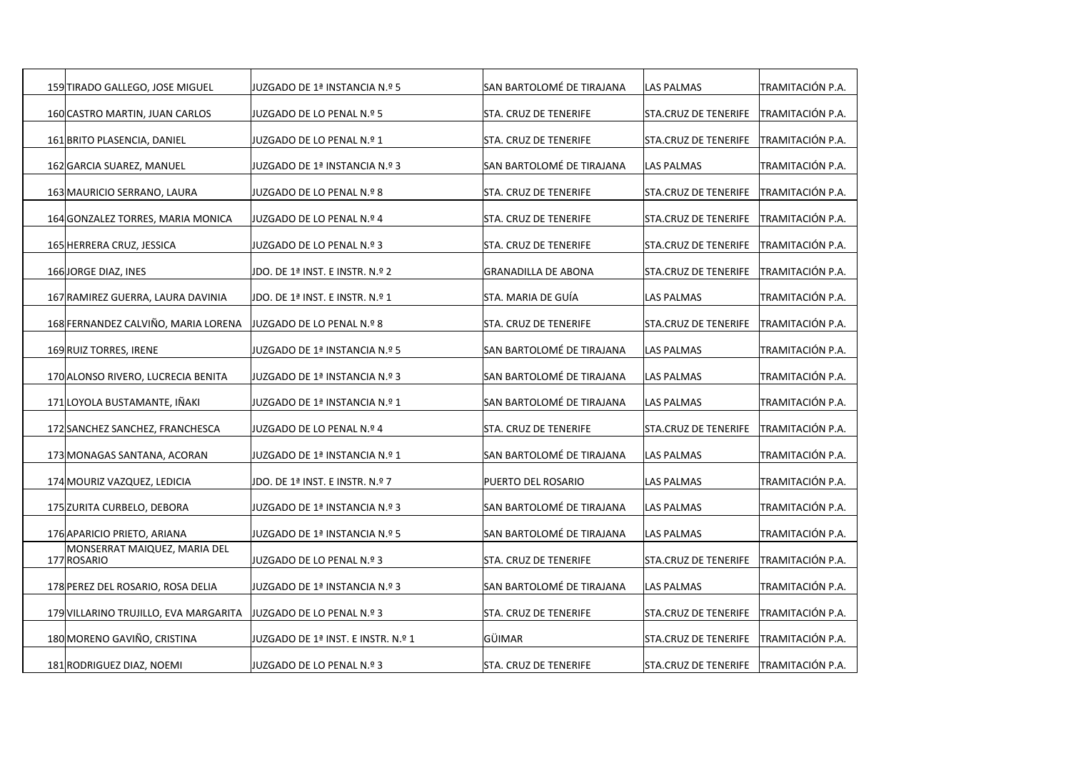| 159 TIRADO GALLEGO, JOSE MIGUEL             | JUZGADO DE 1ª INSTANCIA N.º 5      | SAN BARTOLOMÉ DE TIRAJANA  | LAS PALMAS           | TRAMITACIÓN P.A. |
|---------------------------------------------|------------------------------------|----------------------------|----------------------|------------------|
| 160 CASTRO MARTIN, JUAN CARLOS              | JUZGADO DE LO PENAL N.º 5          | STA. CRUZ DE TENERIFE      | STA.CRUZ DE TENERIFE | TRAMITACIÓN P.A. |
| 161 BRITO PLASENCIA, DANIEL                 | JUZGADO DE LO PENAL N.º 1          | STA. CRUZ DE TENERIFE      | STA.CRUZ DE TENERIFE | TRAMITACIÓN P.A. |
| 162 GARCIA SUAREZ, MANUEL                   | JUZGADO DE 1ª INSTANCIA N.º 3      | SAN BARTOLOMÉ DE TIRAJANA  | LAS PALMAS           | TRAMITACIÓN P.A. |
| 163 MAURICIO SERRANO, LAURA                 | JUZGADO DE LO PENAL N.º 8          | STA. CRUZ DE TENERIFE      | STA.CRUZ DE TENERIFE | TRAMITACIÓN P.A. |
| 164 GONZALEZ TORRES, MARIA MONICA           | JUZGADO DE LO PENAL N.º 4          | STA. CRUZ DE TENERIFE      | STA.CRUZ DE TENERIFE | TRAMITACIÓN P.A. |
| 165 HERRERA CRUZ, JESSICA                   | JUZGADO DE LO PENAL N.º 3          | STA. CRUZ DE TENERIFE      | STA.CRUZ DE TENERIFE | TRAMITACIÓN P.A. |
| 166 JORGE DIAZ, INES                        | JDO. DE 1ª INST. E INSTR. N.º 2    | <b>GRANADILLA DE ABONA</b> | STA.CRUZ DE TENERIFE | TRAMITACIÓN P.A. |
| 167 RAMIREZ GUERRA, LAURA DAVINIA           | JDO. DE 1ª INST. E INSTR. N.º 1    | STA. MARIA DE GUÍA         | LAS PALMAS           | TRAMITACIÓN P.A. |
| 168 FERNANDEZ CALVIÑO, MARIA LORENA         | JUZGADO DE LO PENAL N.º 8          | STA. CRUZ DE TENERIFE      | STA.CRUZ DE TENERIFE | TRAMITACIÓN P.A. |
| 169 RUIZ TORRES, IRENE                      | JUZGADO DE 1ª INSTANCIA N.º 5      | SAN BARTOLOMÉ DE TIRAJANA  | LAS PALMAS           | TRAMITACIÓN P.A. |
| 170 ALONSO RIVERO, LUCRECIA BENITA          | JUZGADO DE 1ª INSTANCIA N.º 3      | SAN BARTOLOMÉ DE TIRAJANA  | LAS PALMAS           | TRAMITACIÓN P.A. |
| 171 LOYOLA BUSTAMANTE, IÑAKI                | JUZGADO DE 1ª INSTANCIA N.º 1      | SAN BARTOLOMÉ DE TIRAJANA  | LAS PALMAS           | TRAMITACIÓN P.A. |
|                                             |                                    |                            |                      |                  |
| 172 SANCHEZ SANCHEZ, FRANCHESCA             | JUZGADO DE LO PENAL N.º 4          | STA. CRUZ DE TENERIFE      | STA.CRUZ DE TENERIFE | TRAMITACIÓN P.A. |
| 173 MONAGAS SANTANA, ACORAN                 | JUZGADO DE 1ª INSTANCIA N.º 1      | SAN BARTOLOMÉ DE TIRAJANA  | LAS PALMAS           | TRAMITACIÓN P.A. |
| 174 MOURIZ VAZQUEZ, LEDICIA                 | JDO. DE 1ª INST. E INSTR. N.º 7    | PUERTO DEL ROSARIO         | LAS PALMAS           | TRAMITACIÓN P.A. |
| 175 ZURITA CURBELO, DEBORA                  | JUZGADO DE 1ª INSTANCIA N.º 3      | SAN BARTOLOMÉ DE TIRAJANA  | LAS PALMAS           | TRAMITACIÓN P.A. |
| 176 APARICIO PRIETO, ARIANA                 | JUZGADO DE 1ª INSTANCIA N.º 5      | SAN BARTOLOMÉ DE TIRAJANA  | LAS PALMAS           | TRAMITACIÓN P.A. |
| MONSERRAT MAIQUEZ, MARIA DEL<br>177 ROSARIO | JUZGADO DE LO PENAL N.º 3          | STA. CRUZ DE TENERIFE      | STA.CRUZ DE TENERIFE | TRAMITACIÓN P.A. |
| 178 PEREZ DEL ROSARIO, ROSA DELIA           | JUZGADO DE 1ª INSTANCIA N.º 3      | SAN BARTOLOMÉ DE TIRAJANA  | LAS PALMAS           | TRAMITACIÓN P.A. |
| 179 VILLARINO TRUJILLO, EVA MARGARITA       | JJUZGADO DE LO PENAL N.º 3         | STA. CRUZ DE TENERIFE      | STA.CRUZ DE TENERIFE | TRAMITACIÓN P.A. |
| 180 MORENO GAVIÑO, CRISTINA                 | JUZGADO DE 1ª INST. E INSTR. N.º 1 | GÜIMAR                     | STA.CRUZ DE TENERIFE | TRAMITACIÓN P.A. |
| 181 RODRIGUEZ DIAZ, NOEMI                   | JUZGADO DE LO PENAL N.º 3          | STA. CRUZ DE TENERIFE      | STA.CRUZ DE TENERIFE | TRAMITACIÓN P.A. |